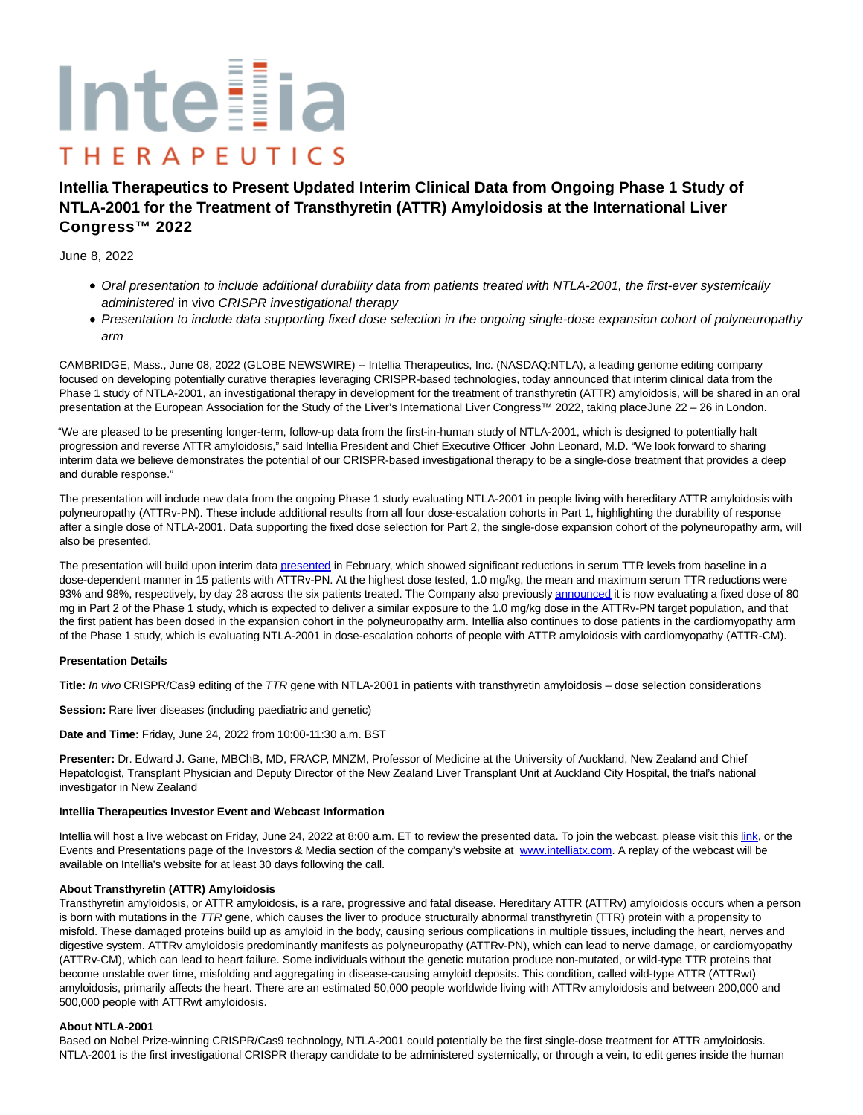# Inteilia **THERAPEUTICS**

# **Intellia Therapeutics to Present Updated Interim Clinical Data from Ongoing Phase 1 Study of NTLA-2001 for the Treatment of Transthyretin (ATTR) Amyloidosis at the International Liver Congress™ 2022**

# June 8, 2022

- Oral presentation to include additional durability data from patients treated with NTLA-2001, the first-ever systemically administered in vivo CRISPR investigational therapy
- Presentation to include data supporting fixed dose selection in the ongoing single-dose expansion cohort of polyneuropathy arm

CAMBRIDGE, Mass., June 08, 2022 (GLOBE NEWSWIRE) -- Intellia Therapeutics, Inc. (NASDAQ:NTLA), a leading genome editing company focused on developing potentially curative therapies leveraging CRISPR-based technologies, today announced that interim clinical data from the Phase 1 study of NTLA-2001, an investigational therapy in development for the treatment of transthyretin (ATTR) amyloidosis, will be shared in an oral presentation at the European Association for the Study of the Liver's International Liver Congress™ 2022, taking place June 22 – 26 in London.

"We are pleased to be presenting longer-term, follow-up data from the first-in-human study of NTLA-2001, which is designed to potentially halt progression and reverse ATTR amyloidosis," said Intellia President and Chief Executive Officer John Leonard, M.D. "We look forward to sharing interim data we believe demonstrates the potential of our CRISPR-based investigational therapy to be a single-dose treatment that provides a deep and durable response."

The presentation will include new data from the ongoing Phase 1 study evaluating NTLA-2001 in people living with hereditary ATTR amyloidosis with polyneuropathy (ATTRv-PN). These include additional results from all four dose-escalation cohorts in Part 1, highlighting the durability of response after a single dose of NTLA-2001. Data supporting the fixed dose selection for Part 2, the single-dose expansion cohort of the polyneuropathy arm, will also be presented.

The presentation will build upon interim dat[a presented i](https://www.globenewswire.com/Tracker?data=SXVqJgP8PQe0qzSw6s6EV1FyiFkBL95hAYV9pm4lYNE0mmUZvGLeHlYign3Dsyi47fpXlVVI-20JqvaMDS0kfd6KfOd2aDKciXUqd3XNOGRtX79x7FoDxBHmiKGBtgWruv-_aLeyDrDP-Z1W3ZNIfYK5UIJz_4JqQypk4yhqoWZd7nX9B7WXNeLR5MmF4Yr1)n February, which showed significant reductions in serum TTR levels from baseline in a dose-dependent manner in 15 patients with ATTRv-PN. At the highest dose tested, 1.0 mg/kg, the mean and maximum serum TTR reductions were 93% and 98%, respectively, by day 28 across the six patients treated. The Company also previousl[y announced i](https://www.globenewswire.com/Tracker?data=KAGWfp3ffJnTfeTIAA5TAoEyvdE4FL0fJf7YQJySdnOteviRau8Hm0qV1O62mUl-0pfitchKswX8BK1n_e--PiRZyfY6628D9JE4RNjHW2_Zufsf9Kd_3jsAJEt3suXY7frz1SPryf5-oXLHxuagus0oGLtuWJFMQPxRcy2mo98zPWisG_egTFHpPBMViQYpAjGUdQ2G0bzXvQijmfpYHw==)t is now evaluating a fixed dose of 80 mg in Part 2 of the Phase 1 study, which is expected to deliver a similar exposure to the 1.0 mg/kg dose in the ATTRv-PN target population, and that the first patient has been dosed in the expansion cohort in the polyneuropathy arm. Intellia also continues to dose patients in the cardiomyopathy arm of the Phase 1 study, which is evaluating NTLA-2001 in dose-escalation cohorts of people with ATTR amyloidosis with cardiomyopathy (ATTR-CM).

## **Presentation Details**

**Title:** In vivo CRISPR/Cas9 editing of the TTR gene with NTLA-2001 in patients with transthyretin amyloidosis – dose selection considerations

**Session:** Rare liver diseases (including paediatric and genetic)

**Date and Time:** Friday, June 24, 2022 from 10:00-11:30 a.m. BST

**Presenter:** Dr. Edward J. Gane, MBChB, MD, FRACP, MNZM, Professor of Medicine at the University of Auckland, New Zealand and Chief Hepatologist, Transplant Physician and Deputy Director of the New Zealand Liver Transplant Unit at Auckland City Hospital, the trial's national investigator in New Zealand

## **Intellia Therapeutics Investor Event and Webcast Information**

Intellia will host a live webcast on Friday, June 24, 2022 at 8:00 a.m. ET to review the presented data. To join the webcast, please visit this [link,](https://www.globenewswire.com/Tracker?data=QvgdSq1ajTvLv0n3If_Tu5O-9_nmtUa9VTk8HmkSL2bLhWtPCEqZ1k1DIGOtcQ56PZd8LYq9twYNVzry088b0mypqpidu46Pt3YNoHj-seTifzwTVr4vd23YY_j6X_Mq-T7szD8aY1x6xi7mNJaRbQ==) or the Events and Presentations page of the Investors & Media section of the company's website at [www.intelliatx.com.](https://www.globenewswire.com/Tracker?data=fzOlC-7N-0BUhqpqZSt27Nu4lFXu4ZV32DMrElADRllA6gtk_9OzYzQkBgusB-i4b0UTNyIef9am546b4QmNMVCdmubYejVtgOSqqdMgZC8=) A replay of the webcast will be available on Intellia's website for at least 30 days following the call.

# **About Transthyretin (ATTR) Amyloidosis**

Transthyretin amyloidosis, or ATTR amyloidosis, is a rare, progressive and fatal disease. Hereditary ATTR (ATTRv) amyloidosis occurs when a person is born with mutations in the TTR gene, which causes the liver to produce structurally abnormal transthyretin (TTR) protein with a propensity to misfold. These damaged proteins build up as amyloid in the body, causing serious complications in multiple tissues, including the heart, nerves and digestive system. ATTRv amyloidosis predominantly manifests as polyneuropathy (ATTRv-PN), which can lead to nerve damage, or cardiomyopathy (ATTRv-CM), which can lead to heart failure. Some individuals without the genetic mutation produce non-mutated, or wild-type TTR proteins that become unstable over time, misfolding and aggregating in disease-causing amyloid deposits. This condition, called wild-type ATTR (ATTRwt) amyloidosis, primarily affects the heart. There are an estimated 50,000 people worldwide living with ATTRv amyloidosis and between 200,000 and 500,000 people with ATTRwt amyloidosis.

## **About NTLA-2001**

Based on Nobel Prize-winning CRISPR/Cas9 technology, NTLA-2001 could potentially be the first single-dose treatment for ATTR amyloidosis. NTLA-2001 is the first investigational CRISPR therapy candidate to be administered systemically, or through a vein, to edit genes inside the human